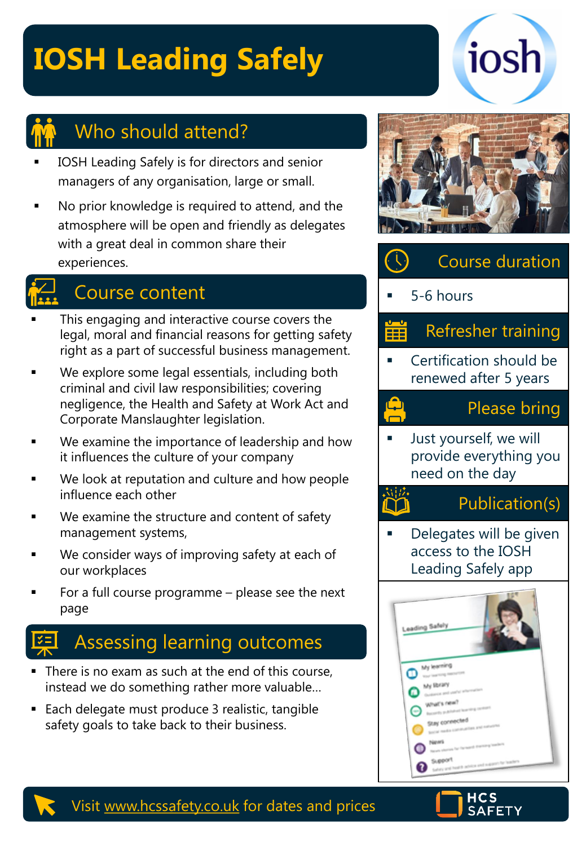# **IOSH Leading Safely**



## Who should attend?

- IOSH Leading Safely is for directors and senior managers of any organisation, large or small.
- No prior knowledge is required to attend, and the atmosphere will be open and friendly as delegates with a great deal in common share their experiences.

## Course content

- This engaging and interactive course covers the legal, moral and financial reasons for getting safety right as a part of successful business management.
- We explore some legal essentials, including both criminal and civil law responsibilities; covering negligence, the Health and Safety at Work Act and Corporate Manslaughter legislation.
- We examine the importance of leadership and how it influences the culture of your company
- We look at reputation and culture and how people influence each other
- We examine the structure and content of safety management systems,
- We consider ways of improving safety at each of our workplaces
- For a full course programme  $-$  please see the next page

## Assessing learning outcomes

- There is no exam as such at the end of this course, instead we do something rather more valuable…
- Each delegate must produce 3 realistic, tangible safety goals to take back to their business.



iosh



 $5-6$  hours

 $\bigodot$ 

**ASSES** 

#### Refresher training ⊞

Certification should be renewed after 5 years

### Please bring

Just yourself, we will provide everything you need on the day

### Publication(s)

Delegates will be given access to the IOSH Leading Safely app





#### Visit [www.hcssafety.co.uk](http://www.hcssafety.co.uk/) for dates and prices